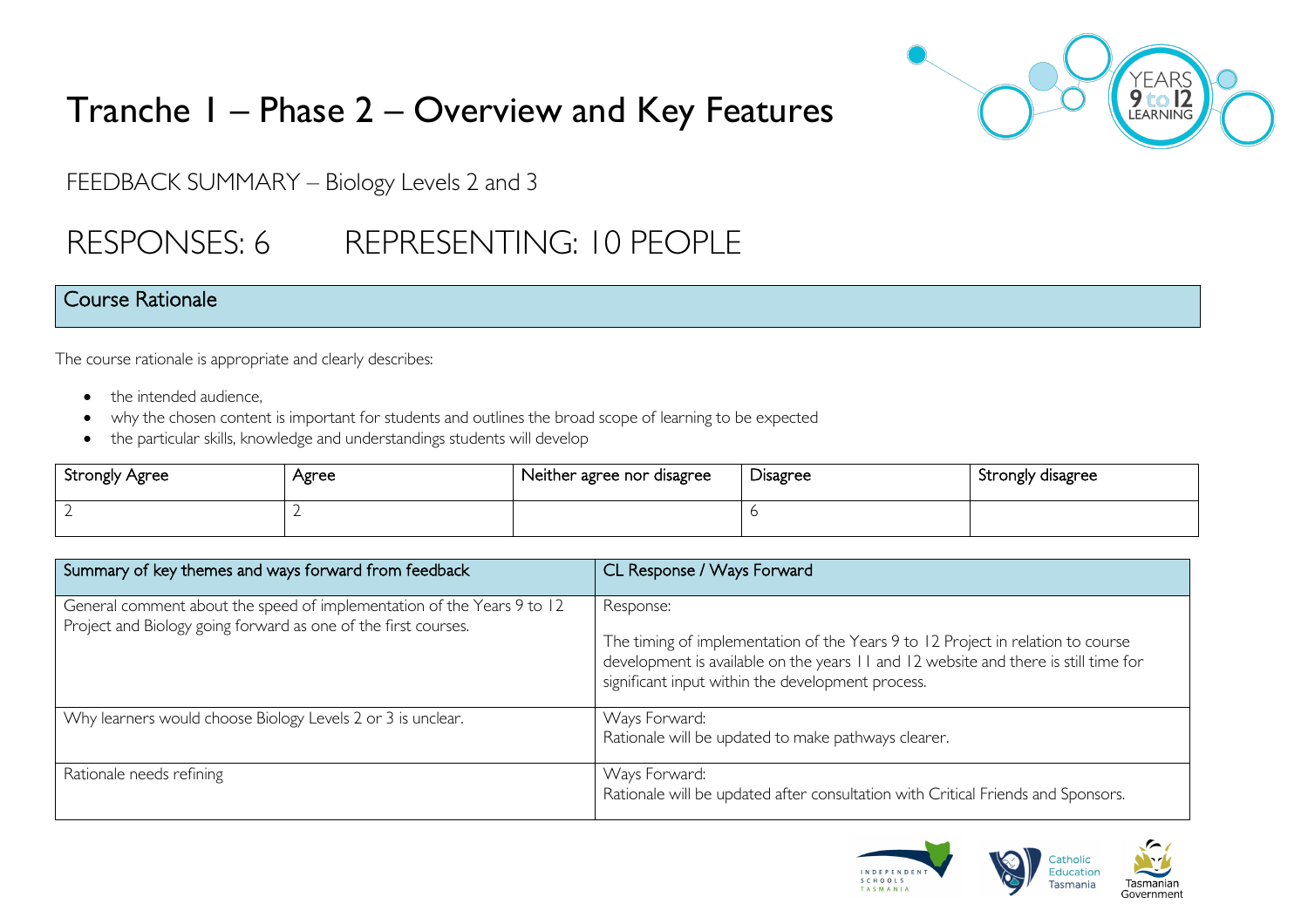

# Tranche 1 – Phase 2 – Overview and Key Features

FEEDBACK SUMMARY – Biology Levels 2 and 3

## RESPONSES: 6 REPRESENTING: 10 PEOPLE

#### Course Rationale

The course rationale is appropriate and clearly describes:

- the intended audience.
- why the chosen content is important for students and outlines the broad scope of learning to be expected
- the particular skills, knowledge and understandings students will develop

| <b>Strongly Agree</b> | Agree | Neither agree nor disagree | Disagree | Strongly disagree |
|-----------------------|-------|----------------------------|----------|-------------------|
|                       |       |                            |          |                   |

| Summary of key themes and ways forward from feedback                                                                                     | CL Response / Ways Forward                                                                                                                                                                                                               |
|------------------------------------------------------------------------------------------------------------------------------------------|------------------------------------------------------------------------------------------------------------------------------------------------------------------------------------------------------------------------------------------|
| General comment about the speed of implementation of the Years 9 to 12<br>Project and Biology going forward as one of the first courses. | Response:<br>The timing of implementation of the Years 9 to 12 Project in relation to course<br>development is available on the years 11 and 12 website and there is still time for<br>significant input within the development process. |
| Why learners would choose Biology Levels 2 or 3 is unclear.                                                                              | Ways Forward:<br>Rationale will be updated to make pathways clearer.                                                                                                                                                                     |
| Rationale needs refining                                                                                                                 | Ways Forward:<br>Rationale will be updated after consultation with Critical Friends and Sponsors.                                                                                                                                        |

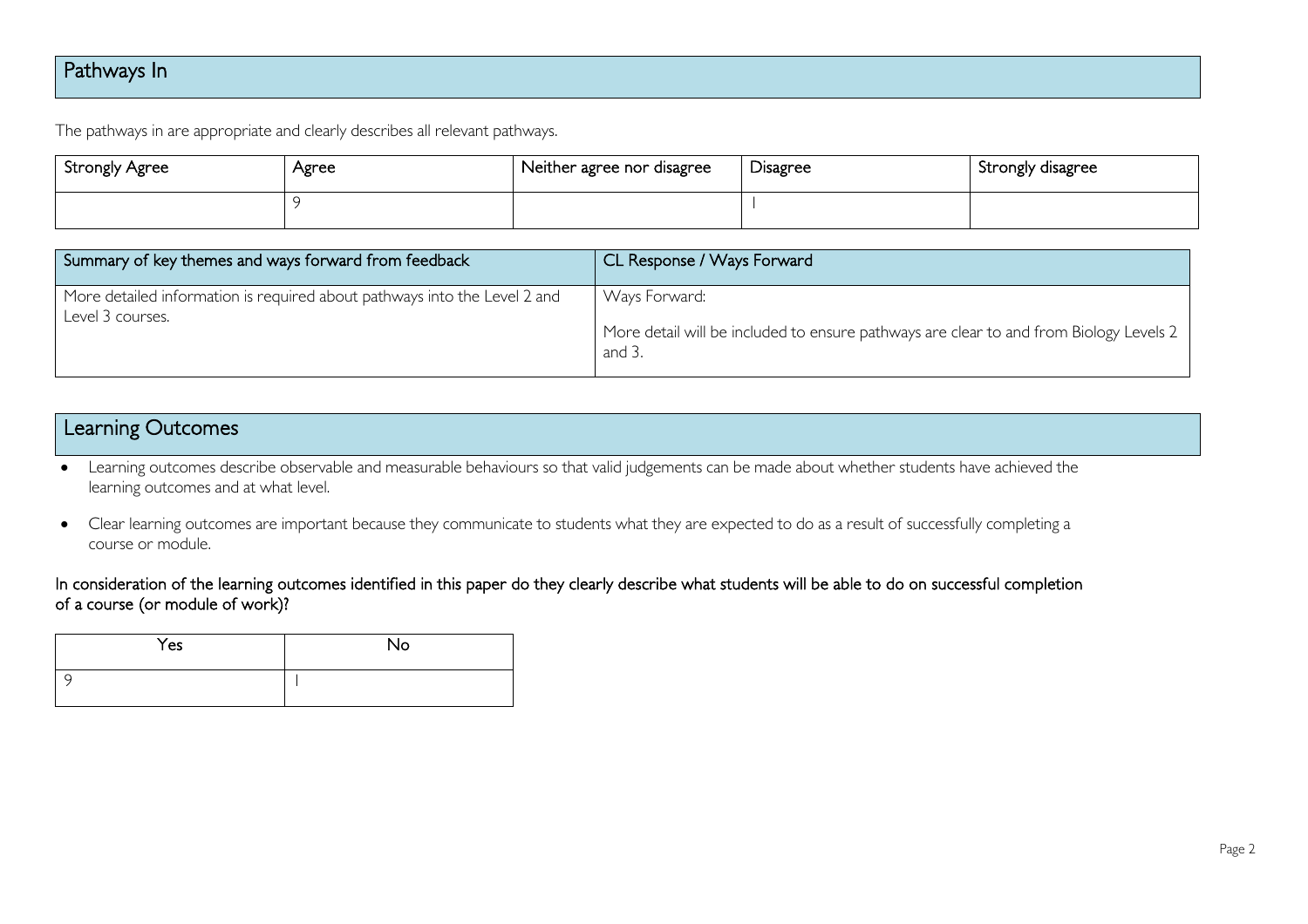## Pathways In

The pathways in are appropriate and clearly describes all relevant pathways.

| <b>Strongly Agree</b> | Agree | Neither agree nor disagree | <b>Disagree</b> | Strongly disagree |
|-----------------------|-------|----------------------------|-----------------|-------------------|
|                       |       |                            |                 |                   |

| Summary of key themes and ways forward from feedback                                          | CL Response / Ways Forward                                                                                        |
|-----------------------------------------------------------------------------------------------|-------------------------------------------------------------------------------------------------------------------|
| More detailed information is required about pathways into the Level 2 and<br>Level 3 courses. | Ways Forward:<br>More detail will be included to ensure pathways are clear to and from Biology Levels 2<br>and 3. |

## Learning Outcomes

• Learning outcomes describe observable and measurable behaviours so that valid judgements can be made about whether students have achieved the learning outcomes and at what level.

• Clear learning outcomes are important because they communicate to students what they are expected to do as a result of successfully completing a course or module.

#### In consideration of the learning outcomes identified in this paper do they clearly describe what students will be able to do on successful completion of a course (or module of work)?

| Yes | <b>No</b> |
|-----|-----------|
|     |           |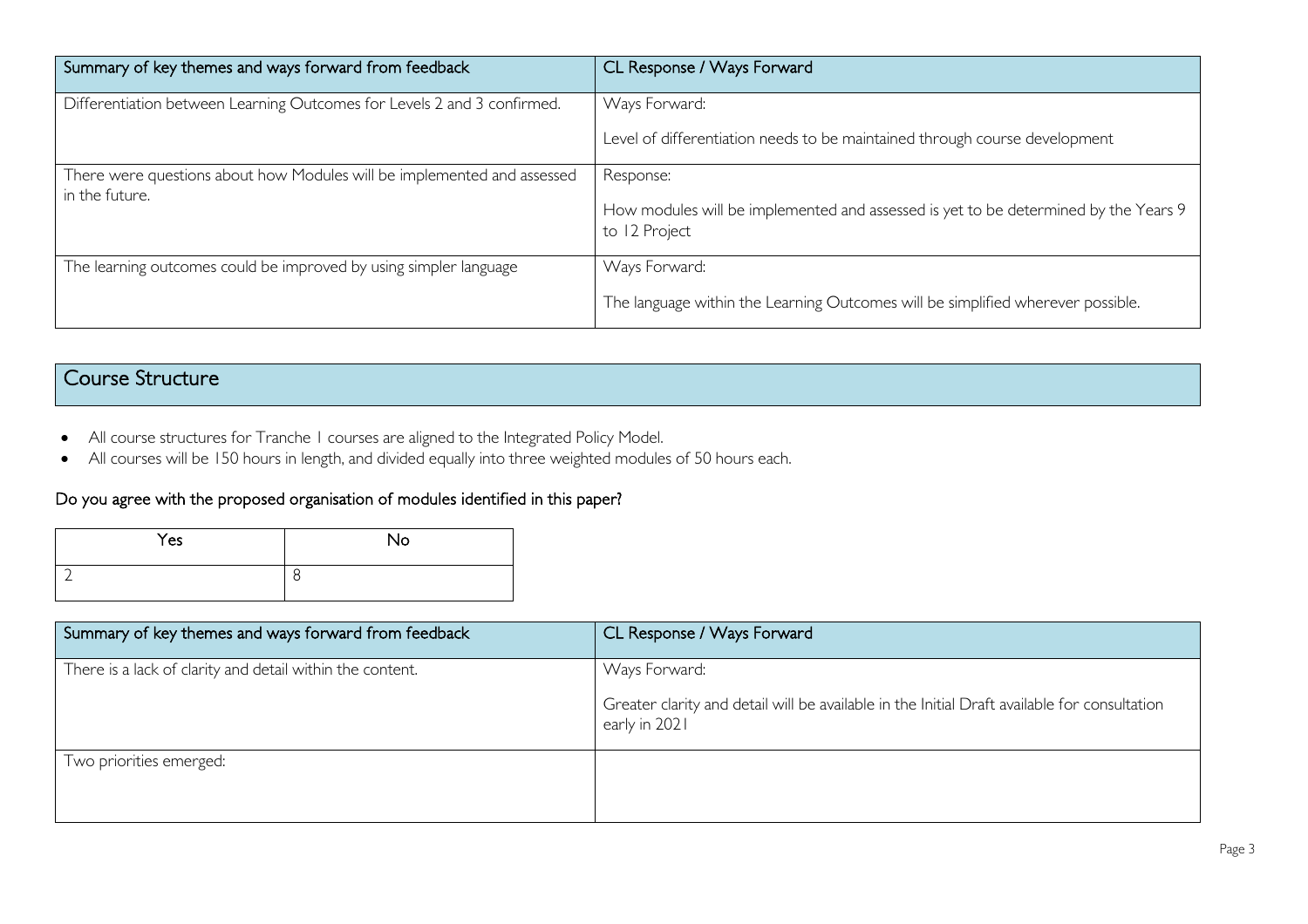| Summary of key themes and ways forward from feedback                                      | CL Response / Ways Forward                                                                                        |
|-------------------------------------------------------------------------------------------|-------------------------------------------------------------------------------------------------------------------|
| Differentiation between Learning Outcomes for Levels 2 and 3 confirmed.                   | Ways Forward:<br>Level of differentiation needs to be maintained through course development                       |
|                                                                                           |                                                                                                                   |
| There were questions about how Modules will be implemented and assessed<br>in the future. | Response:<br>How modules will be implemented and assessed is yet to be determined by the Years 9<br>to 12 Project |
| The learning outcomes could be improved by using simpler language                         | Ways Forward:<br>The language within the Learning Outcomes will be simplified wherever possible.                  |

## Course Structure

- All course structures for Tranche 1 courses are aligned to the Integrated Policy Model.
- All courses will be 150 hours in length, and divided equally into three weighted modules of 50 hours each.

#### Do you agree with the proposed organisation of modules identified in this paper?

| Yes | No |
|-----|----|
|     | 8  |

| Summary of key themes and ways forward from feedback      | CL Response / Ways Forward                                                                                                     |
|-----------------------------------------------------------|--------------------------------------------------------------------------------------------------------------------------------|
| There is a lack of clarity and detail within the content. | Ways Forward:<br>Greater clarity and detail will be available in the Initial Draft available for consultation<br>early in 2021 |
| Two priorities emerged:                                   |                                                                                                                                |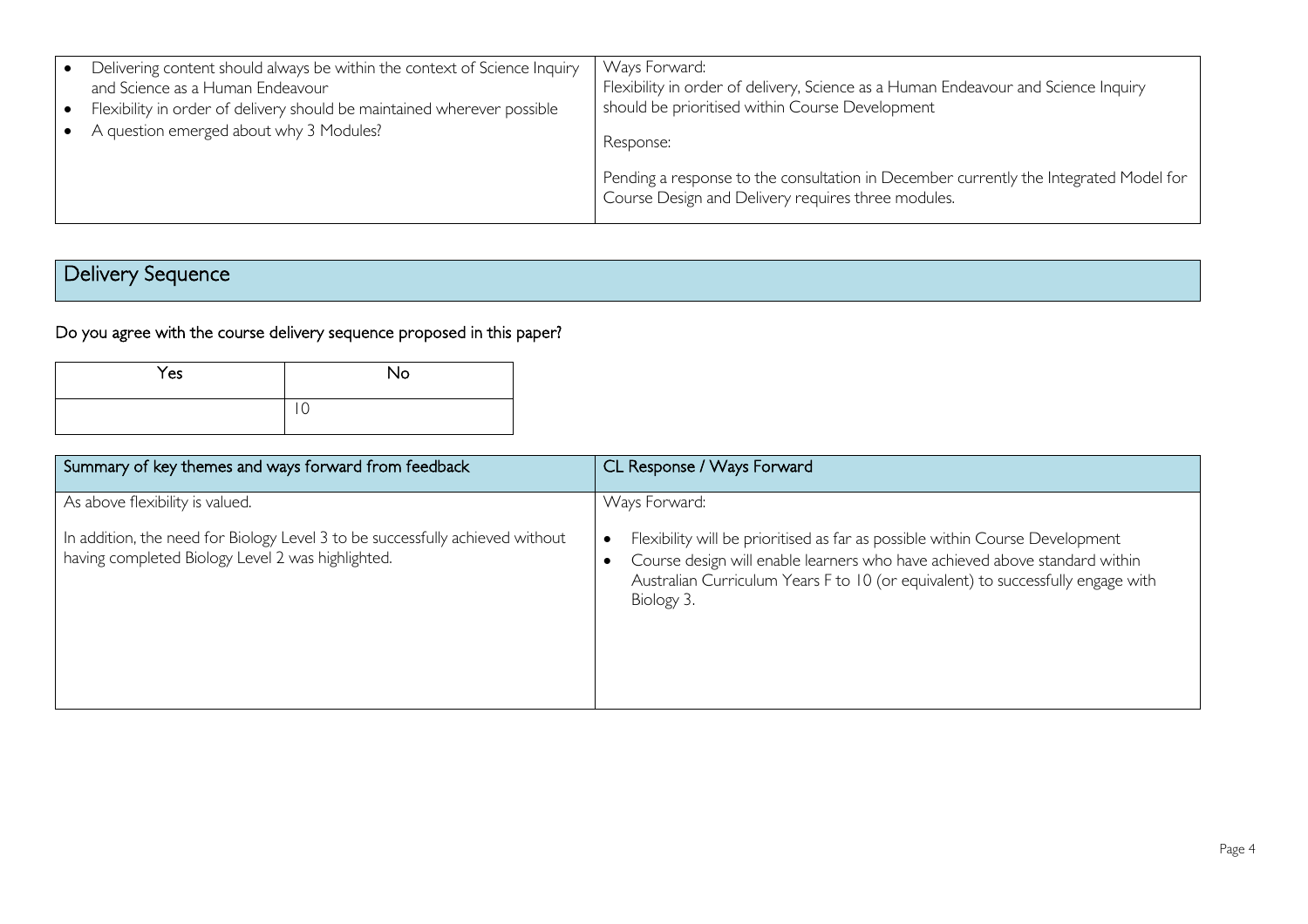| Delivering content should always be within the context of Science Inquiry<br>and Science as a Human Endeavour<br>Flexibility in order of delivery should be maintained wherever possible<br>A question emerged about why 3 Modules? | Ways Forward:<br>Flexibility in order of delivery, Science as a Human Endeavour and Science Inquiry<br>should be prioritised within Course Development<br>Response: |
|-------------------------------------------------------------------------------------------------------------------------------------------------------------------------------------------------------------------------------------|---------------------------------------------------------------------------------------------------------------------------------------------------------------------|
|                                                                                                                                                                                                                                     | Pending a response to the consultation in December currently the Integrated Model for<br>Course Design and Delivery requires three modules.                         |

## Delivery Sequence

## Do you agree with the course delivery sequence proposed in this paper?

| Yes | No |
|-----|----|
|     | ັ  |

| Summary of key themes and ways forward from feedback                                                                               | CL Response / Ways Forward                                                                                                                                                                                                                                  |
|------------------------------------------------------------------------------------------------------------------------------------|-------------------------------------------------------------------------------------------------------------------------------------------------------------------------------------------------------------------------------------------------------------|
| As above flexibility is valued.                                                                                                    | Ways Forward:                                                                                                                                                                                                                                               |
| In addition, the need for Biology Level 3 to be successfully achieved without<br>having completed Biology Level 2 was highlighted. | Flexibility will be prioritised as far as possible within Course Development<br>Course design will enable learners who have achieved above standard within<br>Australian Curriculum Years F to 10 (or equivalent) to successfully engage with<br>Biology 3. |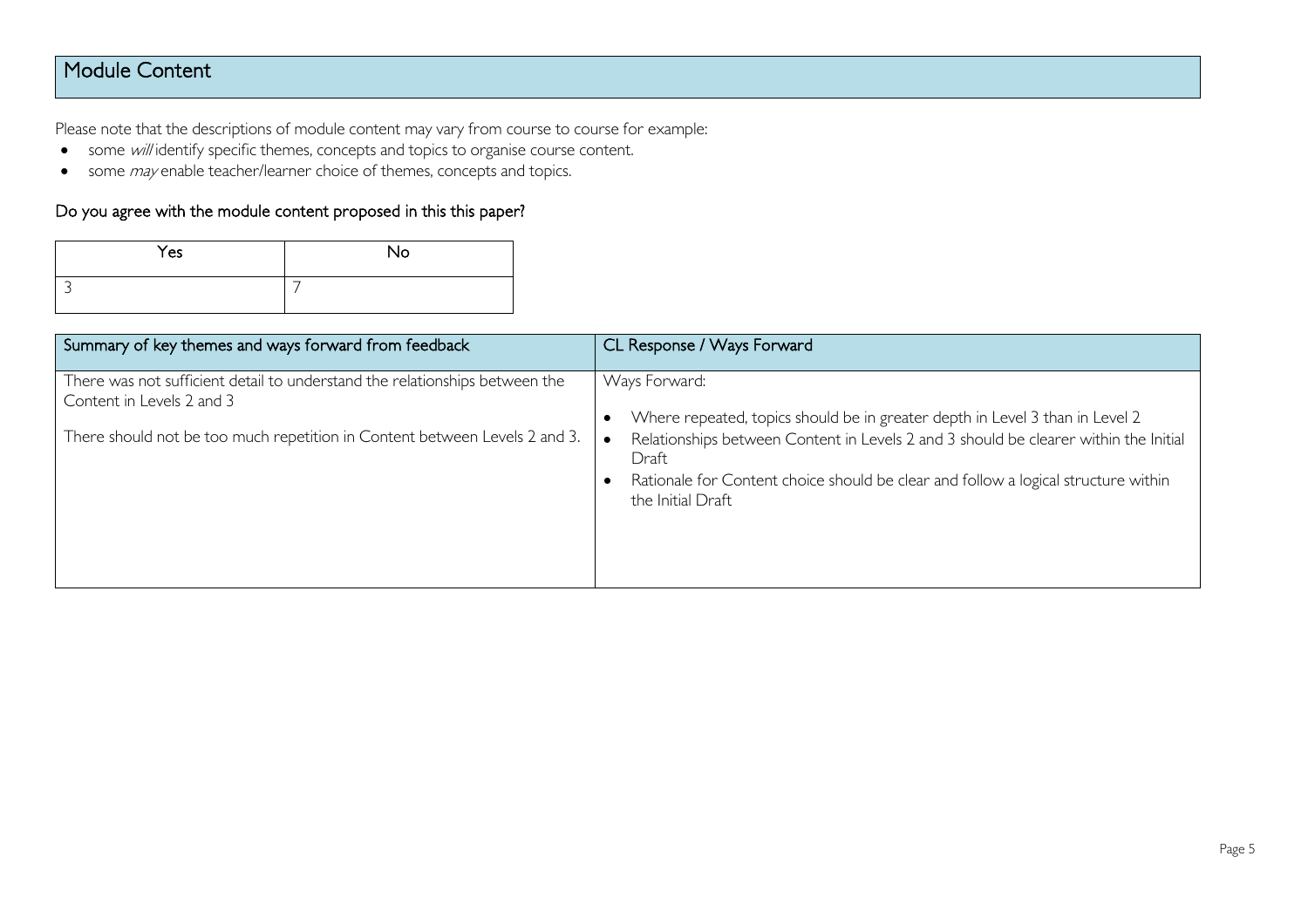## Module Content

Please note that the descriptions of module content may vary from course to course for example:

- some will identify specific themes, concepts and topics to organise course content.
- some *may* enable teacher/learner choice of themes, concepts and topics.

#### Do you agree with the module content proposed in this this paper?

| Yes | No |
|-----|----|
|     |    |

| Summary of key themes and ways forward from feedback                                                                                                                                   | CL Response / Ways Forward                                                                                                                                                                                                                                                                                |
|----------------------------------------------------------------------------------------------------------------------------------------------------------------------------------------|-----------------------------------------------------------------------------------------------------------------------------------------------------------------------------------------------------------------------------------------------------------------------------------------------------------|
| There was not sufficient detail to understand the relationships between the<br>Content in Levels 2 and 3<br>There should not be too much repetition in Content between Levels 2 and 3. | Ways Forward:<br>Where repeated, topics should be in greater depth in Level 3 than in Level 2<br>Relationships between Content in Levels 2 and 3 should be clearer within the Initial<br>Draft<br>Rationale for Content choice should be clear and follow a logical structure within<br>the Initial Draft |